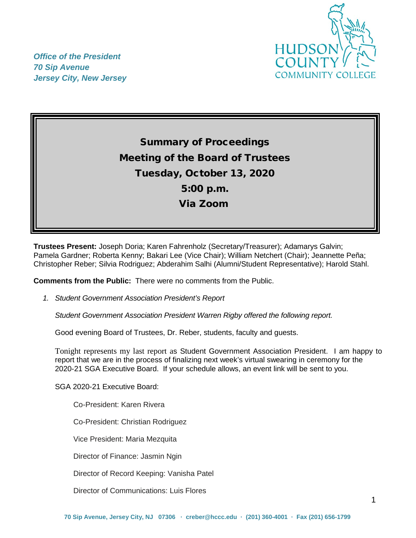

*Office of the President 70 Sip Avenue Jersey City, New Jersey*

# Summary of Proceedings Meeting of the Board of Trustees Tuesday, October 13, 2020 5:00 p.m. Via Zoom

**Trustees Present:** Joseph Doria; Karen Fahrenholz (Secretary/Treasurer); Adamarys Galvin; Pamela Gardner; Roberta Kenny; Bakari Lee (Vice Chair); William Netchert (Chair); Jeannette Peña; Christopher Reber; Silvia Rodriguez; Abderahim Salhi (Alumni/Student Representative); Harold Stahl.

**Comments from the Public:** There were no comments from the Public.

*1. Student Government Association President's Report* 

*Student Government Association President Warren Rigby offered the following report.*

Good evening Board of Trustees, Dr. Reber, students, faculty and guests.

Tonight represents my last report as Student Government Association President. I am happy to report that we are in the process of finalizing next week's virtual swearing in ceremony for the 2020-21 SGA Executive Board. If your schedule allows, an event link will be sent to you.

SGA 2020-21 Executive Board:

Co-President: Karen Rivera

Co-President: Christian Rodriguez

Vice President: Maria Mezquita

Director of Finance: Jasmin Ngin

Director of Record Keeping: Vanisha Patel

Director of Communications: Luis Flores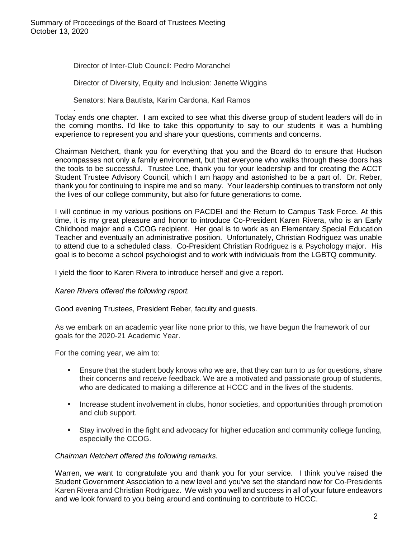Director of Inter-Club Council: Pedro Moranchel

Director of Diversity, Equity and Inclusion: Jenette Wiggins

Senators: Nara Bautista, Karim Cardona, Karl Ramos

. Today ends one chapter. I am excited to see what this diverse group of student leaders will do in the coming months. I'd like to take this opportunity to say to our students it was a humbling experience to represent you and share your questions, comments and concerns.

Chairman Netchert, thank you for everything that you and the Board do to ensure that Hudson encompasses not only a family environment, but that everyone who walks through these doors has the tools to be successful. Trustee Lee, thank you for your leadership and for creating the ACCT Student Trustee Advisory Council, which I am happy and astonished to be a part of. Dr. Reber, thank you for continuing to inspire me and so many. Your leadership continues to transform not only the lives of our college community, but also for future generations to come.

I will continue in my various positions on PACDEI and the Return to Campus Task Force. At this time, it is my great pleasure and honor to introduce Co-President Karen Rivera, who is an Early Childhood major and a CCOG recipient. Her goal is to work as an Elementary Special Education Teacher and eventually an administrative position. Unfortunately, Christian Rodriguez was unable to attend due to a scheduled class. Co-President Christian Rodriguez is a Psychology major. His goal is to become a school psychologist and to work with individuals from the LGBTQ community.

I yield the floor to Karen Rivera to introduce herself and give a report.

*Karen Rivera offered the following report.*

Good evening Trustees, President Reber, faculty and guests.

As we embark on an academic year like none prior to this, we have begun the framework of our goals for the 2020-21 Academic Year.

For the coming year, we aim to:

- Ensure that the student body knows who we are, that they can turn to us for questions, share their concerns and receive feedback. We are a motivated and passionate group of students, who are dedicated to making a difference at HCCC and in the lives of the students.
- **Increase student involvement in clubs, honor societies, and opportunities through promotion** and club support.
- Stay involved in the fight and advocacy for higher education and community college funding, especially the CCOG.

## *Chairman Netchert offered the following remarks.*

Warren, we want to congratulate you and thank you for your service. I think you've raised the Student Government Association to a new level and you've set the standard now for Co-Presidents Karen Rivera and Christian Rodriguez. We wish you well and success in all of your future endeavors and we look forward to you being around and continuing to contribute to HCCC.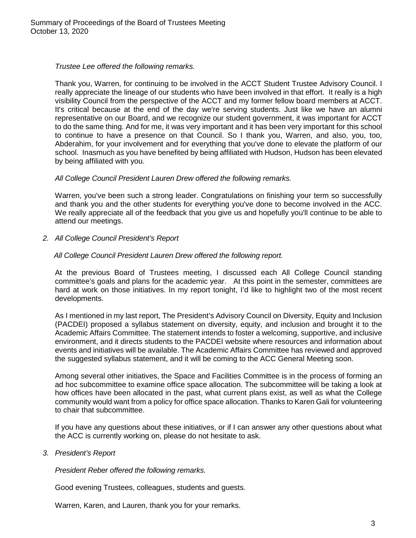*Trustee Lee offered the following remarks.*

Thank you, Warren, for continuing to be involved in the ACCT Student Trustee Advisory Council. I really appreciate the lineage of our students who have been involved in that effort. It really is a high visibility Council from the perspective of the ACCT and my former fellow board members at ACCT. It's critical because at the end of the day we're serving students. Just like we have an alumni representative on our Board, and we recognize our student government, it was important for ACCT to do the same thing. And for me, it was very important and it has been very important for this school to continue to have a presence on that Council. So I thank you, Warren, and also, you, too, Abderahim, for your involvement and for everything that you've done to elevate the platform of our school. Inasmuch as you have benefited by being affiliated with Hudson, Hudson has been elevated by being affiliated with you.

#### *All College Council President Lauren Drew offered the following remarks.*

Warren, you've been such a strong leader. Congratulations on finishing your term so successfully and thank you and the other students for everything you've done to become involved in the ACC. We really appreciate all of the feedback that you give us and hopefully you'll continue to be able to attend our meetings.

*2. All College Council President's Report* 

#### *All College Council President Lauren Drew offered the following report.*

At the previous Board of Trustees meeting, I discussed each All College Council standing committee's goals and plans for the academic year. At this point in the semester, committees are hard at work on those initiatives. In my report tonight, I'd like to highlight two of the most recent developments.

As I mentioned in my last report, The President's Advisory Council on Diversity, Equity and Inclusion (PACDEI) proposed a syllabus statement on diversity, equity, and inclusion and brought it to the Academic Affairs Committee. The statement intends to foster a welcoming, supportive, and inclusive environment, and it directs students to the PACDEI website where resources and information about events and initiatives will be available. The Academic Affairs Committee has reviewed and approved the suggested syllabus statement, and it will be coming to the ACC General Meeting soon.

Among several other initiatives, the Space and Facilities Committee is in the process of forming an ad hoc subcommittee to examine office space allocation. The subcommittee will be taking a look at how offices have been allocated in the past, what current plans exist, as well as what the College community would want from a policy for office space allocation. Thanks to Karen Gali for volunteering to chair that subcommittee.

If you have any questions about these initiatives, or if I can answer any other questions about what the ACC is currently working on, please do not hesitate to ask.

*3. President's Report*

*President Reber offered the following remarks.*

Good evening Trustees, colleagues, students and guests.

Warren, Karen, and Lauren, thank you for your remarks.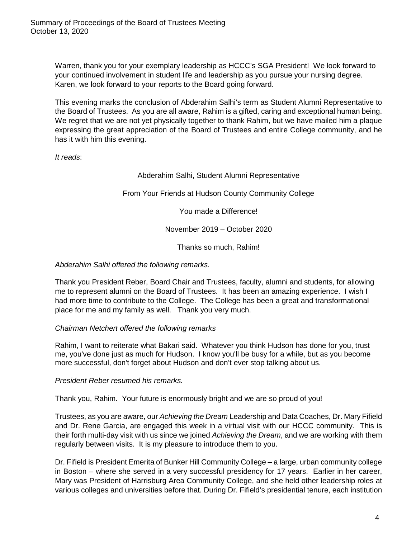Warren, thank you for your exemplary leadership as HCCC's SGA President! We look forward to your continued involvement in student life and leadership as you pursue your nursing degree. Karen, we look forward to your reports to the Board going forward.

This evening marks the conclusion of Abderahim Salhi's term as Student Alumni Representative to the Board of Trustees. As you are all aware, Rahim is a gifted, caring and exceptional human being. We regret that we are not yet physically together to thank Rahim, but we have mailed him a plaque expressing the great appreciation of the Board of Trustees and entire College community, and he has it with him this evening.

*It reads*:

# Abderahim Salhi, Student Alumni Representative

From Your Friends at Hudson County Community College

You made a Difference!

November 2019 – October 2020

Thanks so much, Rahim!

## *Abderahim Salhi offered the following remarks.*

Thank you President Reber, Board Chair and Trustees, faculty, alumni and students, for allowing me to represent alumni on the Board of Trustees. It has been an amazing experience. I wish I had more time to contribute to the College. The College has been a great and transformational place for me and my family as well. Thank you very much.

## *Chairman Netchert offered the following remarks*

Rahim, I want to reiterate what Bakari said. Whatever you think Hudson has done for you, trust me, you've done just as much for Hudson. I know you'll be busy for a while, but as you become more successful, don't forget about Hudson and don't ever stop talking about us.

*President Reber resumed his remarks.*

Thank you, Rahim. Your future is enormously bright and we are so proud of you!

Trustees, as you are aware, our *Achieving the Dream* Leadership and Data Coaches, Dr. Mary Fifield and Dr. Rene Garcia, are engaged this week in a virtual visit with our HCCC community. This is their forth multi-day visit with us since we joined *Achieving the Dream*, and we are working with them regularly between visits. It is my pleasure to introduce them to you.

Dr. Fifield is President Emerita of Bunker Hill Community College – a large, urban community college in Boston – where she served in a very successful presidency for 17 years. Earlier in her career, Mary was President of Harrisburg Area Community College, and she held other leadership roles at various colleges and universities before that. During Dr. Fifield's presidential tenure, each institution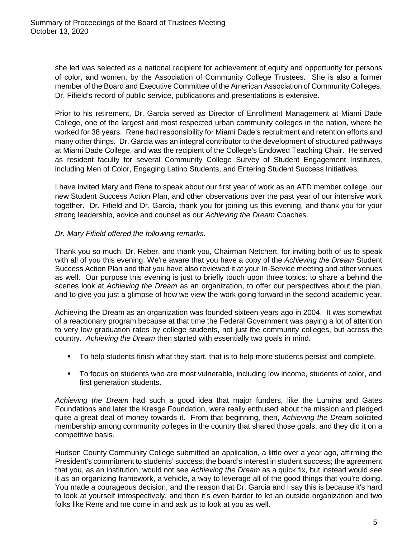she led was selected as a national recipient for achievement of equity and opportunity for persons of color, and women, by the Association of Community College Trustees. She is also a former member of the Board and Executive Committee of the American Association of Community Colleges. Dr. Fifield's record of public service, publications and presentations is extensive.

Prior to his retirement, Dr. Garcia served as Director of Enrollment Management at Miami Dade College, one of the largest and most respected urban community colleges in the nation, where he worked for 38 years. Rene had responsibility for Miami Dade's recruitment and retention efforts and many other things. Dr. Garcia was an integral contributor to the development of structured pathways at Miami Dade College, and was the recipient of the College's Endowed Teaching Chair. He served as resident faculty for several Community College Survey of Student Engagement Institutes, including Men of Color, Engaging Latino Students, and Entering Student Success Initiatives.

I have invited Mary and Rene to speak about our first year of work as an ATD member college, our new Student Success Action Plan, and other observations over the past year of our intensive work together. Dr. Fifield and Dr. Garcia, thank you for joining us this evening, and thank you for your strong leadership, advice and counsel as our *Achieving the Dream* Coaches.

# *Dr. Mary Fifield offered the following remarks.*

Thank you so much, Dr. Reber, and thank you, Chairman Netchert, for inviting both of us to speak with all of you this evening. We're aware that you have a copy of the *Achieving the Dream* Student Success Action Plan and that you have also reviewed it at your In-Service meeting and other venues as well. Our purpose this evening is just to briefly touch upon three topics: to share a behind the scenes look at *Achieving the Dream* as an organization, to offer our perspectives about the plan, and to give you just a glimpse of how we view the work going forward in the second academic year.

Achieving the Dream as an organization was founded sixteen years ago in 2004. It was somewhat of a reactionary program because at that time the Federal Government was paying a lot of attention to very low graduation rates by college students, not just the community colleges, but across the country. *Achieving the Dream* then started with essentially two goals in mind.

- To help students finish what they start, that is to help more students persist and complete.
- To focus on students who are most vulnerable, including low income, students of color, and first generation students.

*Achieving the Dream* had such a good idea that major funders, like the Lumina and Gates Foundations and later the Kresge Foundation, were really enthused about the mission and pledged quite a great deal of money towards it. From that beginning, then, *Achieving the Dream* solicited membership among community colleges in the country that shared those goals, and they did it on a competitive basis.

Hudson County Community College submitted an application, a little over a year ago, affirming the President's commitment to students' success; the board's interest in student success; the agreement that you, as an institution, would not see *Achieving the Dream* as a quick fix, but instead would see it as an organizing framework, a vehicle, a way to leverage all of the good things that you're doing. You made a courageous decision, and the reason that Dr. Garcia and I say this is because it's hard to look at yourself introspectively, and then it's even harder to let an outside organization and two folks like Rene and me come in and ask us to look at you as well.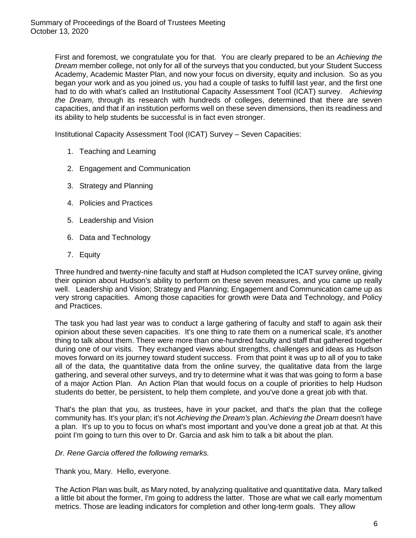First and foremost, we congratulate you for that. You are clearly prepared to be an *Achieving the Dream* member college, not only for all of the surveys that you conducted, but your Student Success Academy, Academic Master Plan, and now your focus on diversity, equity and inclusion. So as you began your work and as you joined us, you had a couple of tasks to fulfill last year, and the first one had to do with what's called an Institutional Capacity Assessment Tool (ICAT) survey. *Achieving the Dream,* through its research with hundreds of colleges, determined that there are seven capacities, and that if an institution performs well on these seven dimensions, then its readiness and its ability to help students be successful is in fact even stronger.

Institutional Capacity Assessment Tool (ICAT) Survey – Seven Capacities:

- 1. Teaching and Learning
- 2. Engagement and Communication
- 3. Strategy and Planning
- 4. Policies and Practices
- 5. Leadership and Vision
- 6. Data and Technology
- 7. Equity

Three hundred and twenty-nine faculty and staff at Hudson completed the ICAT survey online, giving their opinion about Hudson's ability to perform on these seven measures, and you came up really well. Leadership and Vision; Strategy and Planning; Engagement and Communication came up as very strong capacities. Among those capacities for growth were Data and Technology, and Policy and Practices.

The task you had last year was to conduct a large gathering of faculty and staff to again ask their opinion about these seven capacities. It's one thing to rate them on a numerical scale, it's another thing to talk about them. There were more than one-hundred faculty and staff that gathered together during one of our visits. They exchanged views about strengths, challenges and ideas as Hudson moves forward on its journey toward student success. From that point it was up to all of you to take all of the data, the quantitative data from the online survey, the qualitative data from the large gathering, and several other surveys, and try to determine what it was that was going to form a base of a major Action Plan. An Action Plan that would focus on a couple of priorities to help Hudson students do better, be persistent, to help them complete, and you've done a great job with that.

That's the plan that you, as trustees, have in your packet, and that's the plan that the college community has. It's your plan; it's not *Achieving the Dream's* plan. *Achieving the Dream* doesn't have a plan. It's up to you to focus on what's most important and you've done a great job at that. At this point I'm going to turn this over to Dr. Garcia and ask him to talk a bit about the plan.

#### *Dr. Rene Garcia offered the following remarks.*

Thank you, Mary. Hello, everyone.

The Action Plan was built, as Mary noted, by analyzing qualitative and quantitative data. Mary talked a little bit about the former, I'm going to address the latter. Those are what we call early momentum metrics. Those are leading indicators for completion and other long-term goals. They allow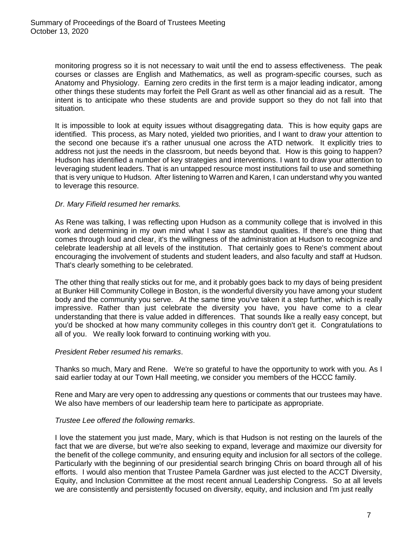monitoring progress so it is not necessary to wait until the end to assess effectiveness. The peak courses or classes are English and Mathematics, as well as program-specific courses, such as Anatomy and Physiology. Earning zero credits in the first term is a major leading indicator, among other things these students may forfeit the Pell Grant as well as other financial aid as a result. The intent is to anticipate who these students are and provide support so they do not fall into that situation.

It is impossible to look at equity issues without disaggregating data. This is how equity gaps are identified. This process, as Mary noted, yielded two priorities, and I want to draw your attention to the second one because it's a rather unusual one across the ATD network. It explicitly tries to address not just the needs in the classroom, but needs beyond that. How is this going to happen? Hudson has identified a number of key strategies and interventions. I want to draw your attention to leveraging student leaders. That is an untapped resource most institutions fail to use and something that is very unique to Hudson. After listening to Warren and Karen, I can understand why you wanted to leverage this resource.

## *Dr. Mary Fifield resumed her remarks.*

As Rene was talking, I was reflecting upon Hudson as a community college that is involved in this work and determining in my own mind what I saw as standout qualities. If there's one thing that comes through loud and clear, it's the willingness of the administration at Hudson to recognize and celebrate leadership at all levels of the institution. That certainly goes to Rene's comment about encouraging the involvement of students and student leaders, and also faculty and staff at Hudson. That's clearly something to be celebrated.

The other thing that really sticks out for me, and it probably goes back to my days of being president at Bunker Hill Community College in Boston, is the wonderful diversity you have among your student body and the community you serve. At the same time you've taken it a step further, which is really impressive. Rather than just celebrate the diversity you have, you have come to a clear understanding that there is value added in differences. That sounds like a really easy concept, but you'd be shocked at how many community colleges in this country don't get it. Congratulations to all of you. We really look forward to continuing working with you.

#### *President Reber resumed his remarks*.

Thanks so much, Mary and Rene. We're so grateful to have the opportunity to work with you. As I said earlier today at our Town Hall meeting, we consider you members of the HCCC family.

Rene and Mary are very open to addressing any questions or comments that our trustees may have. We also have members of our leadership team here to participate as appropriate.

## *Trustee Lee offered the following remarks*.

I love the statement you just made, Mary, which is that Hudson is not resting on the laurels of the fact that we are diverse, but we're also seeking to expand, leverage and maximize our diversity for the benefit of the college community, and ensuring equity and inclusion for all sectors of the college. Particularly with the beginning of our presidential search bringing Chris on board through all of his efforts. I would also mention that Trustee Pamela Gardner was just elected to the ACCT Diversity, Equity, and Inclusion Committee at the most recent annual Leadership Congress. So at all levels we are consistently and persistently focused on diversity, equity, and inclusion and I'm just really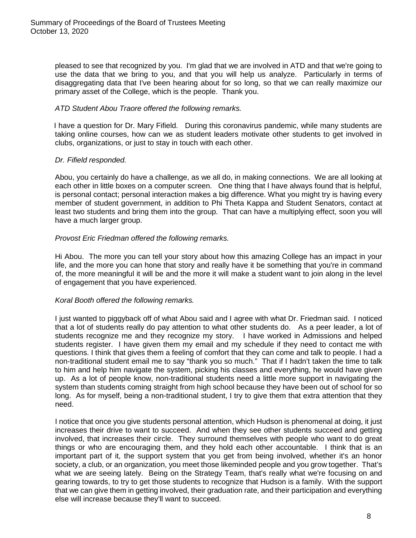pleased to see that recognized by you. I'm glad that we are involved in ATD and that we're going to use the data that we bring to you, and that you will help us analyze. Particularly in terms of disaggregating data that I've been hearing about for so long, so that we can really maximize our primary asset of the College, which is the people. Thank you.

## *ATD Student Abou Traore offered the following remarks.*

I have a question for Dr. Mary Fifield. During this coronavirus pandemic, while many students are taking online courses, how can we as student leaders motivate other students to get involved in clubs, organizations, or just to stay in touch with each other.

## *Dr. Fifield responded.*

Abou, you certainly do have a challenge, as we all do, in making connections. We are all looking at each other in little boxes on a computer screen. One thing that I have always found that is helpful, is personal contact; personal interaction makes a big difference. What you might try is having every member of student government, in addition to Phi Theta Kappa and Student Senators, contact at least two students and bring them into the group. That can have a multiplying effect, soon you will have a much larger group.

## *Provost Eric Friedman offered the following remarks.*

Hi Abou. The more you can tell your story about how this amazing College has an impact in your life, and the more you can hone that story and really have it be something that you're in command of, the more meaningful it will be and the more it will make a student want to join along in the level of engagement that you have experienced.

## *Koral Booth offered the following remarks.*

I just wanted to piggyback off of what Abou said and I agree with what Dr. Friedman said. I noticed that a lot of students really do pay attention to what other students do. As a peer leader, a lot of students recognize me and they recognize my story. I have worked in Admissions and helped students register. I have given them my email and my schedule if they need to contact me with questions. I think that gives them a feeling of comfort that they can come and talk to people. I had a non-traditional student email me to say "thank you so much." That if I hadn't taken the time to talk to him and help him navigate the system, picking his classes and everything, he would have given up. As a lot of people know, non-traditional students need a little more support in navigating the system than students coming straight from high school because they have been out of school for so long. As for myself, being a non-traditional student, I try to give them that extra attention that they need.

I notice that once you give students personal attention, which Hudson is phenomenal at doing, it just increases their drive to want to succeed. And when they see other students succeed and getting involved, that increases their circle. They surround themselves with people who want to do great things or who are encouraging them, and they hold each other accountable. I think that is an important part of it, the support system that you get from being involved, whether it's an honor society, a club, or an organization, you meet those likeminded people and you grow together. That's what we are seeing lately. Being on the Strategy Team, that's really what we're focusing on and gearing towards, to try to get those students to recognize that Hudson is a family. With the support that we can give them in getting involved, their graduation rate, and their participation and everything else will increase because they'll want to succeed.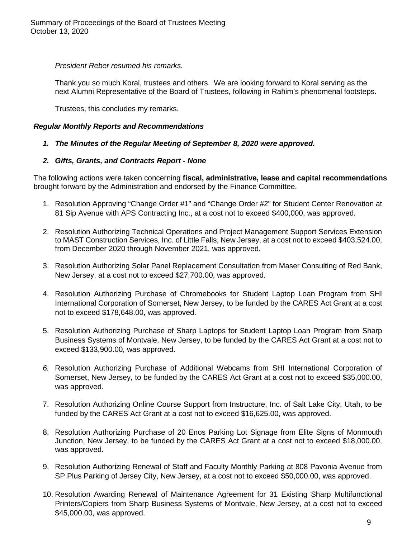*President Reber resumed his remarks.*

Thank you so much Koral, trustees and others. We are looking forward to Koral serving as the next Alumni Representative of the Board of Trustees, following in Rahim's phenomenal footsteps.

Trustees, this concludes my remarks.

#### *Regular Monthly Reports and Recommendations*

#### *1. The Minutes of the Regular Meeting of September 8, 2020 were approved.*

#### *2. Gifts, Grants, and Contracts Report - None*

The following actions were taken concerning **fiscal, administrative, lease and capital recommendations** brought forward by the Administration and endorsed by the Finance Committee.

- 1. Resolution Approving "Change Order #1" and "Change Order #2" for Student Center Renovation at 81 Sip Avenue with APS Contracting Inc., at a cost not to exceed \$400,000, was approved.
- 2. Resolution Authorizing Technical Operations and Project Management Support Services Extension to MAST Construction Services, Inc. of Little Falls, New Jersey, at a cost not to exceed \$403,524.00, from December 2020 through November 2021, was approved.
- 3. Resolution Authorizing Solar Panel Replacement Consultation from Maser Consulting of Red Bank, New Jersey, at a cost not to exceed \$27,700.00, was approved.
- 4. Resolution Authorizing Purchase of Chromebooks for Student Laptop Loan Program from SHI International Corporation of Somerset, New Jersey, to be funded by the CARES Act Grant at a cost not to exceed \$178,648.00, was approved.
- 5. Resolution Authorizing Purchase of Sharp Laptops for Student Laptop Loan Program from Sharp Business Systems of Montvale, New Jersey, to be funded by the CARES Act Grant at a cost not to exceed \$133,900.00, was approved.
- *6.* Resolution Authorizing Purchase of Additional Webcams from SHI International Corporation of Somerset, New Jersey, to be funded by the CARES Act Grant at a cost not to exceed \$35,000.00, was approved.
- 7. Resolution Authorizing Online Course Support from Instructure, Inc. of Salt Lake City, Utah, to be funded by the CARES Act Grant at a cost not to exceed \$16,625.00, was approved.
- 8. Resolution Authorizing Purchase of 20 Enos Parking Lot Signage from Elite Signs of Monmouth Junction, New Jersey, to be funded by the CARES Act Grant at a cost not to exceed \$18,000.00, was approved.
- 9. Resolution Authorizing Renewal of Staff and Faculty Monthly Parking at 808 Pavonia Avenue from SP Plus Parking of Jersey City, New Jersey, at a cost not to exceed \$50,000.00, was approved.
- 10. Resolution Awarding Renewal of Maintenance Agreement for 31 Existing Sharp Multifunctional Printers/Copiers from Sharp Business Systems of Montvale, New Jersey, at a cost not to exceed \$45,000.00, was approved.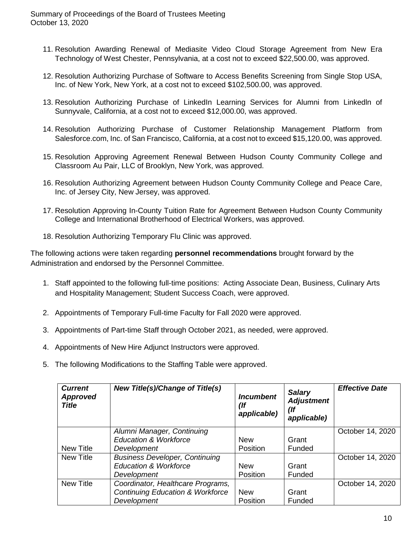- 11. Resolution Awarding Renewal of Mediasite Video Cloud Storage Agreement from New Era Technology of West Chester, Pennsylvania, at a cost not to exceed \$22,500.00, was approved.
- 12. Resolution Authorizing Purchase of Software to Access Benefits Screening from Single Stop USA, Inc. of New York, New York, at a cost not to exceed \$102,500.00, was approved.
- 13. Resolution Authorizing Purchase of LinkedIn Learning Services for Alumni from Linkedln of Sunnyvale, California, at a cost not to exceed \$12,000.00, was approved.
- 14. Resolution Authorizing Purchase of Customer Relationship Management Platform from Salesforce.com, Inc. of San Francisco, California, at a cost not to exceed \$15,120.00, was approved.
- 15. Resolution Approving Agreement Renewal Between Hudson County Community College and Classroom Au Pair, LLC of Brooklyn, New York, was approved.
- 16. Resolution Authorizing Agreement between Hudson County Community College and Peace Care, Inc. of Jersey City, New Jersey, was approved.
- 17. Resolution Approving In-County Tuition Rate for Agreement Between Hudson County Community College and International Brotherhood of Electrical Workers, was approved.
- 18. Resolution Authorizing Temporary Flu Clinic was approved.

The following actions were taken regarding **personnel recommendations** brought forward by the Administration and endorsed by the Personnel Committee.

- 1. Staff appointed to the following full-time positions: Acting Associate Dean, Business, Culinary Arts and Hospitality Management; Student Success Coach, were approved.
- 2. Appointments of Temporary Full-time Faculty for Fall 2020 were approved.
- 3. Appointments of Part-time Staff through October 2021, as needed, were approved.
- 4. Appointments of New Hire Adjunct Instructors were approved.
- 5. The following Modifications to the Staffing Table were approved.

| <b>Current</b><br><b>Approved</b><br><b>Title</b> | <b>New Title(s)/Change of Title(s)</b>      | <i><u><b>Incumbent</b></u></i><br>(If<br>applicable) | <b>Salary</b><br><b>Adjustment</b><br>(If<br>applicable) | <b>Effective Date</b> |
|---------------------------------------------------|---------------------------------------------|------------------------------------------------------|----------------------------------------------------------|-----------------------|
|                                                   | Alumni Manager, Continuing                  |                                                      |                                                          | October 14, 2020      |
|                                                   | <b>Education &amp; Workforce</b>            | <b>New</b>                                           | Grant                                                    |                       |
| New Title                                         | Development                                 | Position                                             | Funded                                                   |                       |
| <b>New Title</b>                                  | <b>Business Developer, Continuing</b>       |                                                      |                                                          | October 14, 2020      |
|                                                   | <b>Education &amp; Workforce</b>            | <b>New</b>                                           | Grant                                                    |                       |
|                                                   | Development                                 | Position                                             | Funded                                                   |                       |
| <b>New Title</b>                                  | Coordinator, Healthcare Programs,           |                                                      |                                                          | October 14, 2020      |
|                                                   | <b>Continuing Education &amp; Workforce</b> | <b>New</b>                                           | Grant                                                    |                       |
|                                                   | Development                                 | Position                                             | Funded                                                   |                       |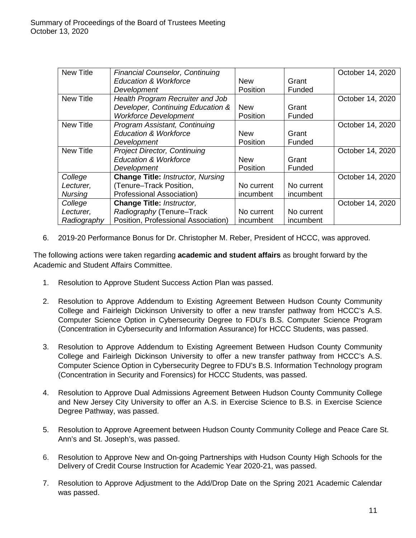| <b>New Title</b> | <b>Financial Counselor, Continuing</b>   |                 |            | October 14, 2020 |
|------------------|------------------------------------------|-----------------|------------|------------------|
|                  | <b>Education &amp; Workforce</b>         | <b>New</b>      | Grant      |                  |
|                  | Development                              | <b>Position</b> | Funded     |                  |
| <b>New Title</b> | Health Program Recruiter and Job         |                 |            | October 14, 2020 |
|                  | Developer, Continuing Education &        | <b>New</b>      | Grant      |                  |
|                  | <b>Workforce Development</b>             | Position        | Funded     |                  |
| <b>New Title</b> | Program Assistant, Continuing            |                 |            | October 14, 2020 |
|                  | <b>Education &amp; Workforce</b>         | <b>New</b>      | Grant      |                  |
|                  | Development                              | Position        | Funded     |                  |
| <b>New Title</b> | <b>Project Director, Continuing</b>      |                 |            | October 14, 2020 |
|                  | <b>Education &amp; Workforce</b>         | <b>New</b>      | Grant      |                  |
|                  | Development                              | <b>Position</b> | Funded     |                  |
| College          | <b>Change Title: Instructor, Nursing</b> |                 |            | October 14, 2020 |
| Lecturer,        | (Tenure-Track Position,                  | No current      | No current |                  |
| <b>Nursing</b>   | Professional Association)                | incumbent       | incumbent  |                  |
| College          | <b>Change Title: Instructor,</b>         |                 |            | October 14, 2020 |
| Lecturer,        | Radiography (Tenure-Track                | No current      | No current |                  |
| Radiography      | Position, Professional Association)      | incumbent       | incumbent  |                  |

6. 2019-20 Performance Bonus for Dr. Christopher M. Reber, President of HCCC, was approved.

The following actions were taken regarding **academic and student affairs** as brought forward by the Academic and Student Affairs Committee.

- 1. Resolution to Approve Student Success Action Plan was passed.
- 2. Resolution to Approve Addendum to Existing Agreement Between Hudson County Community College and Fairleigh Dickinson University to offer a new transfer pathway from HCCC's A.S. Computer Science Option in Cybersecurity Degree to FDU's B.S. Computer Science Program (Concentration in Cybersecurity and Information Assurance) for HCCC Students, was passed.
- 3. Resolution to Approve Addendum to Existing Agreement Between Hudson County Community College and Fairleigh Dickinson University to offer a new transfer pathway from HCCC's A.S. Computer Science Option in Cybersecurity Degree to FDU's B.S. Information Technology program (Concentration in Security and Forensics) for HCCC Students, was passed.
- 4. Resolution to Approve Dual Admissions Agreement Between Hudson County Community College and New Jersey City University to offer an A.S. in Exercise Science to B.S. in Exercise Science Degree Pathway, was passed.
- 5. Resolution to Approve Agreement between Hudson County Community College and Peace Care St. Ann's and St. Joseph's, was passed.
- 6. Resolution to Approve New and On-going Partnerships with Hudson County High Schools for the Delivery of Credit Course Instruction for Academic Year 2020-21, was passed.
- 7. Resolution to Approve Adjustment to the Add/Drop Date on the Spring 2021 Academic Calendar was passed.